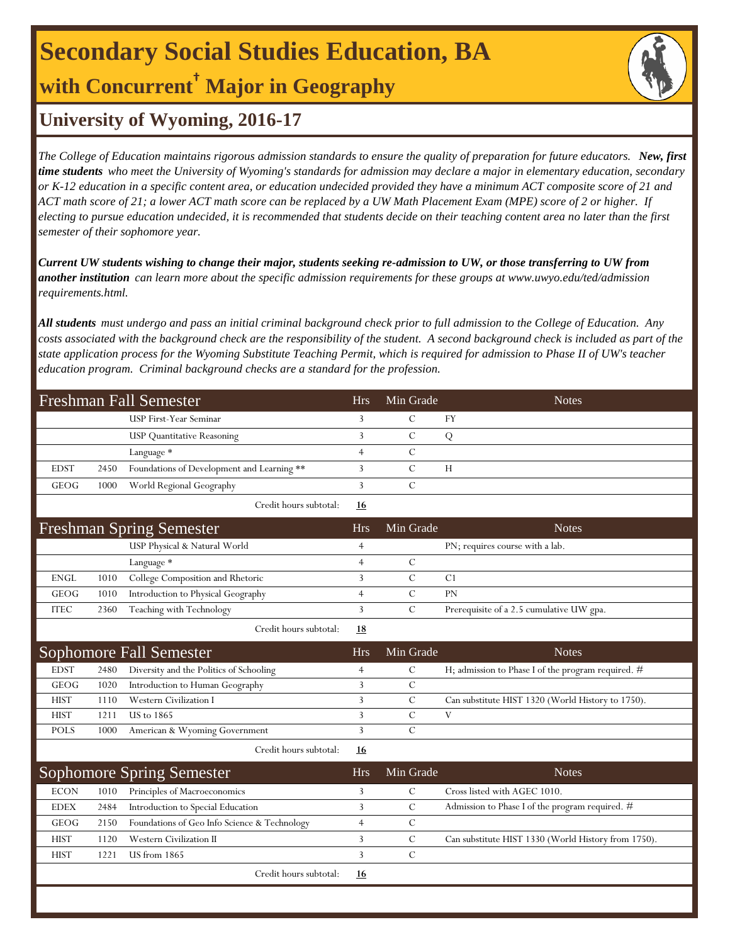## **Secondary Social Studies Education, BA with Concurrent† Major in Geography**



### **University of Wyoming, 2016-17**

*The College of Education maintains rigorous admission standards to ensure the quality of preparation for future educators. New, first time students who meet the University of Wyoming's standards for admission may declare a major in elementary education, secondary or K-12 education in a specific content area, or education undecided provided they have a minimum ACT composite score of 21 and ACT math score of 21; a lower ACT math score can be replaced by a UW Math Placement Exam (MPE) score of 2 or higher. If electing to pursue education undecided, it is recommended that students decide on their teaching content area no later than the first semester of their sophomore year.*

*Current UW students wishing to change their major, students seeking re-admission to UW, or those transferring to UW from another institution can learn more about the specific admission requirements for these groups at www.uwyo.edu/ted/admission requirements.html.* 

*All students must undergo and pass an initial criminal background check prior to full admission to the College of Education. Any costs associated with the background check are the responsibility of the student. A second background check is included as part of the state application process for the Wyoming Substitute Teaching Permit, which is required for admission to Phase II of UW's teacher education program. Criminal background checks are a standard for the profession.*

|                              |      | Freshman Fall Semester                       | <b>Hrs</b>     | Min Grade     | <b>Notes</b>                                        |
|------------------------------|------|----------------------------------------------|----------------|---------------|-----------------------------------------------------|
|                              |      | USP First-Year Seminar                       | 3              | C             | FY                                                  |
|                              |      | <b>USP</b> Quantitative Reasoning            | 3              | $\mathcal{C}$ | Q                                                   |
|                              |      | Language *                                   | $\overline{4}$ | $\mathcal{C}$ |                                                     |
| <b>EDST</b>                  | 2450 | Foundations of Development and Learning **   | 3              | $\mathsf{C}$  | H                                                   |
| <b>GEOG</b>                  | 1000 | World Regional Geography                     | 3              | $\mathcal{C}$ |                                                     |
|                              |      | Credit hours subtotal:                       | 16             |               |                                                     |
|                              |      | Freshman Spring Semester                     | <b>Hrs</b>     | Min Grade     | <b>Notes</b>                                        |
|                              |      | USP Physical & Natural World                 | $\overline{4}$ |               | PN; requires course with a lab.                     |
|                              |      | Language *                                   | $\overline{4}$ | $\mathcal{C}$ |                                                     |
| <b>ENGL</b>                  | 1010 | College Composition and Rhetoric             | $\overline{3}$ | $\mathcal{C}$ | C1                                                  |
| <b>GEOG</b>                  | 1010 | Introduction to Physical Geography           | 4              | $\mathcal{C}$ | PN                                                  |
| $\ensuremath{\mathsf{ITEC}}$ | 2360 | Teaching with Technology                     | 3              | $\mathbf C$   | Prerequisite of a 2.5 cumulative UW gpa.            |
|                              |      | Credit hours subtotal:                       | <u>18</u>      |               |                                                     |
|                              |      | <b>Sophomore Fall Semester</b>               | <b>Hrs</b>     | Min Grade     | <b>Notes</b>                                        |
| <b>EDST</b>                  | 2480 | Diversity and the Politics of Schooling      | $\overline{4}$ | $\mathcal{C}$ | H; admission to Phase I of the program required. #  |
| <b>GEOG</b>                  | 1020 | Introduction to Human Geography              | 3              | $\mathcal{C}$ |                                                     |
| <b>HIST</b>                  | 1110 | Western Civilization I                       | 3              | $\mathcal{C}$ | Can substitute HIST 1320 (World History to 1750).   |
| <b>HIST</b>                  | 1211 | <b>US</b> to 1865                            | 3              | $\mathcal{C}$ |                                                     |
|                              |      |                                              |                |               | V                                                   |
| <b>POLS</b>                  | 1000 | American & Wyoming Government                | 3              | $\mathcal{C}$ |                                                     |
|                              |      | Credit hours subtotal:                       | <u>16</u>      |               |                                                     |
|                              |      | <b>Sophomore Spring Semester</b>             | <b>Hrs</b>     | Min Grade     | <b>Notes</b>                                        |
| <b>ECON</b>                  | 1010 | Principles of Macroeconomics                 | 3              | $\mathcal{C}$ | Cross listed with AGEC 1010.                        |
| <b>EDEX</b>                  | 2484 | Introduction to Special Education            | 3              | $\mathcal{C}$ | Admission to Phase I of the program required. #     |
| <b>GEOG</b>                  | 2150 | Foundations of Geo Info Science & Technology | $\overline{4}$ | $\mathcal{C}$ |                                                     |
| <b>HIST</b>                  | 1120 | Western Civilization II                      | 3              | $\mathcal{C}$ | Can substitute HIST 1330 (World History from 1750). |
| <b>HIST</b>                  | 1221 | US from 1865                                 | 3              | $\mathcal{C}$ |                                                     |
|                              |      | Credit hours subtotal:                       | 16             |               |                                                     |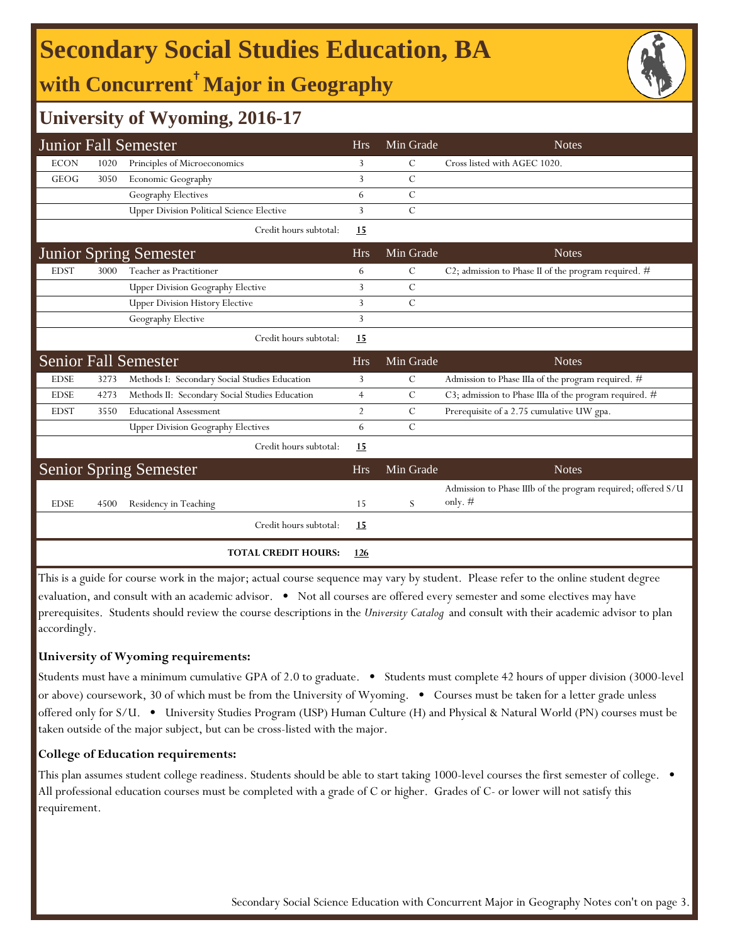# **Secondary Social Studies Education, BA**

**with Concurrent**† **Major in Geography**



## **University of Wyoming, 2016-17**

|             |      | <b>Junior Fall Semester</b>                      | <b>Hrs</b>     | Min Grade     | <b>Notes</b>                                                 |
|-------------|------|--------------------------------------------------|----------------|---------------|--------------------------------------------------------------|
| <b>ECON</b> | 1020 | Principles of Microeconomics                     | 3              | $\mathcal{C}$ | Cross listed with AGEC 1020.                                 |
| GEOG        | 3050 | Economic Geography                               | 3              | $\mathcal{C}$ |                                                              |
|             |      | Geography Electives                              | 6              | $\mathcal{C}$ |                                                              |
|             |      | <b>Upper Division Political Science Elective</b> | 3              | $\mathcal{C}$ |                                                              |
|             |      | Credit hours subtotal:                           | 15             |               |                                                              |
|             |      | <b>Junior Spring Semester</b>                    | <b>Hrs</b>     | Min Grade     | <b>Notes</b>                                                 |
| <b>EDST</b> | 3000 | Teacher as Practitioner                          | 6              | $\mathsf{C}$  | C2; admission to Phase II of the program required. #         |
|             |      | <b>Upper Division Geography Elective</b>         | 3              | $\mathcal{C}$ |                                                              |
|             |      | <b>Upper Division History Elective</b>           | 3              | $\mathcal{C}$ |                                                              |
|             |      | Geography Elective                               | 3              |               |                                                              |
|             |      | Credit hours subtotal:                           | 15             |               |                                                              |
|             |      | <b>Senior Fall Semester</b>                      | <b>Hrs</b>     | Min Grade     | <b>Notes</b>                                                 |
| <b>EDSE</b> | 3273 | Methods I: Secondary Social Studies Education    | 3              | $\mathcal{C}$ | Admission to Phase IIIa of the program required. #           |
| <b>EDSE</b> | 4273 | Methods II: Secondary Social Studies Education   | $\overline{4}$ | $\mathcal{C}$ | C3; admission to Phase IIIa of the program required. #       |
| <b>EDST</b> | 3550 | <b>Educational Assessment</b>                    | $\overline{2}$ | $\mathcal{C}$ | Prerequisite of a 2.75 cumulative UW gpa.                    |
|             |      | <b>Upper Division Geography Electives</b>        | 6              | $\mathcal{C}$ |                                                              |
|             |      | Credit hours subtotal:                           | 15             |               |                                                              |
|             |      | <b>Senior Spring Semester</b>                    | <b>Hrs</b>     | Min Grade     | <b>Notes</b>                                                 |
|             |      |                                                  |                |               | Admission to Phase IIIb of the program required; offered S/U |
| <b>EDSE</b> | 4500 | Residency in Teaching                            | 15             | S             | only. $#$                                                    |
|             |      | Credit hours subtotal:                           | <u>15</u>      |               |                                                              |
|             |      | <b>TOTAL CREDIT HOURS:</b>                       | 126            |               |                                                              |

This is a guide for course work in the major; actual course sequence may vary by student. Please refer to the online student degree evaluation, and consult with an academic advisor. • Not all courses are offered every semester and some electives may have prerequisites. Students should review the course descriptions in the *University Catalog* and consult with their academic advisor to plan accordingly.

#### **University of Wyoming requirements:**

Students must have a minimum cumulative GPA of 2.0 to graduate. • Students must complete 42 hours of upper division (3000-level or above) coursework, 30 of which must be from the University of Wyoming. • Courses must be taken for a letter grade unless offered only for S/U. • University Studies Program (USP) Human Culture (H) and Physical & Natural World (PN) courses must be taken outside of the major subject, but can be cross-listed with the major.

#### **College of Education requirements:**

This plan assumes student college readiness. Students should be able to start taking 1000-level courses the first semester of college. All professional education courses must be completed with a grade of C or higher. Grades of C- or lower will not satisfy this requirement.